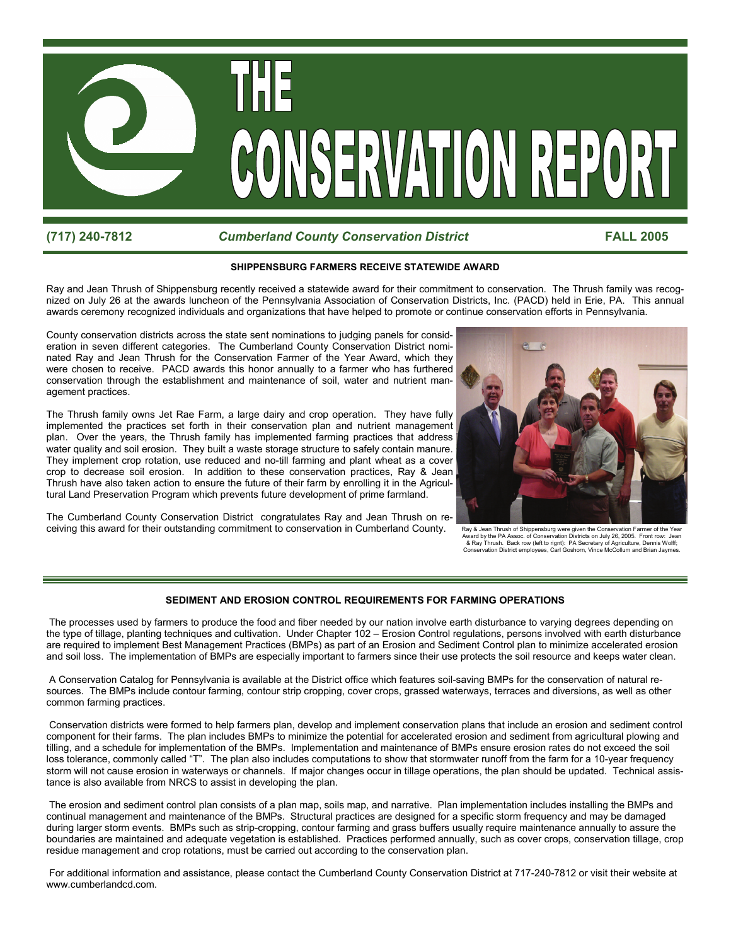

## **(717) 240-7812** *Cumberland County Conservation District* **FALL 2005**

### **SHIPPENSBURG FARMERS RECEIVE STATEWIDE AWARD**

Ray and Jean Thrush of Shippensburg recently received a statewide award for their commitment to conservation. The Thrush family was recognized on July 26 at the awards luncheon of the Pennsylvania Association of Conservation Districts, Inc. (PACD) held in Erie, PA. This annual awards ceremony recognized individuals and organizations that have helped to promote or continue conservation efforts in Pennsylvania.

County conservation districts across the state sent nominations to judging panels for consideration in seven different categories. The Cumberland County Conservation District nominated Ray and Jean Thrush for the Conservation Farmer of the Year Award, which they were chosen to receive. PACD awards this honor annually to a farmer who has furthered conservation through the establishment and maintenance of soil, water and nutrient management practices.

The Thrush family owns Jet Rae Farm, a large dairy and crop operation. They have fully implemented the practices set forth in their conservation plan and nutrient management plan. Over the years, the Thrush family has implemented farming practices that address water quality and soil erosion. They built a waste storage structure to safely contain manure. They implement crop rotation, use reduced and no-till farming and plant wheat as a cover crop to decrease soil erosion. In addition to these conservation practices, Ray & Jean Thrush have also taken action to ensure the future of their farm by enrolling it in the Agricultural Land Preservation Program which prevents future development of prime farmland.

The Cumberland County Conservation District congratulates Ray and Jean Thrush on receiving this award for their outstanding commitment to conservation in Cumberland County.



Award by the PA Assoc. of Conservation Districts on July 26, 2005. Front row: Jean & Ray Thrush. Back row (left to rignt): PA Secretary of Agriculture, Dennis Wolff; Conservation District employees, Carl Goshorn, Vince McCollum and Brian Jaymes.

### **SEDIMENT AND EROSION CONTROL REQUIREMENTS FOR FARMING OPERATIONS**

 The processes used by farmers to produce the food and fiber needed by our nation involve earth disturbance to varying degrees depending on the type of tillage, planting techniques and cultivation. Under Chapter 102 – Erosion Control regulations, persons involved with earth disturbance are required to implement Best Management Practices (BMPs) as part of an Erosion and Sediment Control plan to minimize accelerated erosion and soil loss. The implementation of BMPs are especially important to farmers since their use protects the soil resource and keeps water clean.

 A Conservation Catalog for Pennsylvania is available at the District office which features soil-saving BMPs for the conservation of natural resources. The BMPs include contour farming, contour strip cropping, cover crops, grassed waterways, terraces and diversions, as well as other common farming practices.

 Conservation districts were formed to help farmers plan, develop and implement conservation plans that include an erosion and sediment control component for their farms. The plan includes BMPs to minimize the potential for accelerated erosion and sediment from agricultural plowing and tilling, and a schedule for implementation of the BMPs. Implementation and maintenance of BMPs ensure erosion rates do not exceed the soil loss tolerance, commonly called "T". The plan also includes computations to show that stormwater runoff from the farm for a 10-year frequency storm will not cause erosion in waterways or channels. If major changes occur in tillage operations, the plan should be updated. Technical assistance is also available from NRCS to assist in developing the plan.

 The erosion and sediment control plan consists of a plan map, soils map, and narrative. Plan implementation includes installing the BMPs and continual management and maintenance of the BMPs. Structural practices are designed for a specific storm frequency and may be damaged during larger storm events. BMPs such as strip-cropping, contour farming and grass buffers usually require maintenance annually to assure the boundaries are maintained and adequate vegetation is established. Practices performed annually, such as cover crops, conservation tillage, crop residue management and crop rotations, must be carried out according to the conservation plan.

 For additional information and assistance, please contact the Cumberland County Conservation District at 717-240-7812 or visit their website at www.cumberlandcd.com.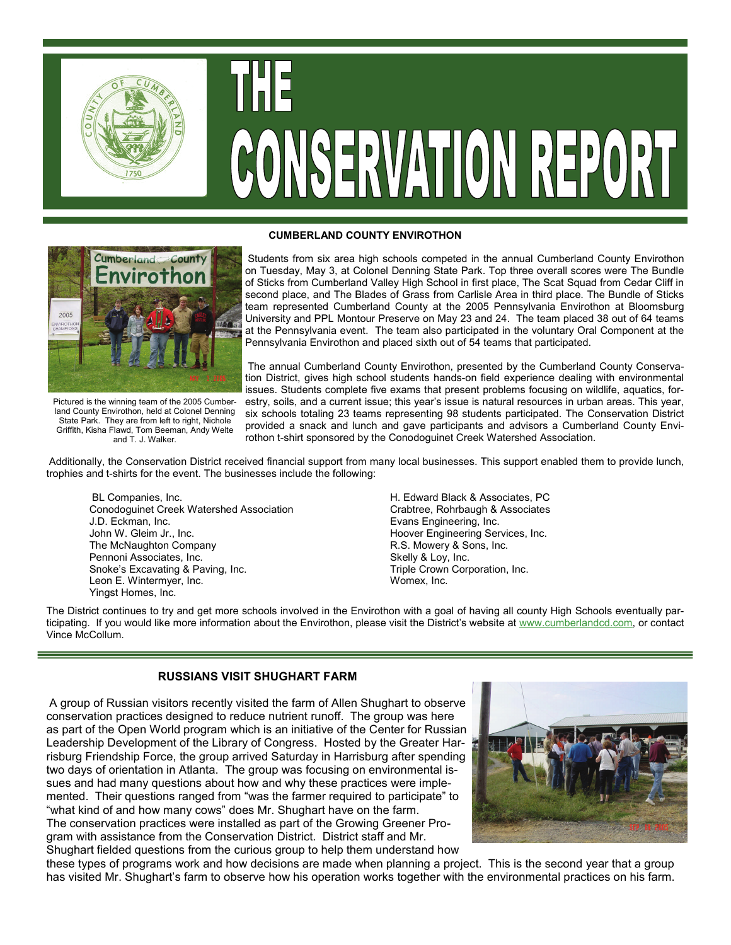

# CONSERVATION REPORT



Pictured is the winning team of the 2005 Cumberland County Envirothon, held at Colonel Denning State Park. They are from left to right, Nichole Griffith, Kisha Flawd, Tom Beeman, Andy Welte and T. J. Walker.

### **CUMBERLAND COUNTY ENVIROTHON**

Students from six area high schools competed in the annual Cumberland County Envirothon on Tuesday, May 3, at Colonel Denning State Park. Top three overall scores were The Bundle of Sticks from Cumberland Valley High School in first place, The Scat Squad from Cedar Cliff in second place, and The Blades of Grass from Carlisle Area in third place. The Bundle of Sticks team represented Cumberland County at the 2005 Pennsylvania Envirothon at Bloomsburg University and PPL Montour Preserve on May 23 and 24. The team placed 38 out of 64 teams at the Pennsylvania event. The team also participated in the voluntary Oral Component at the Pennsylvania Envirothon and placed sixth out of 54 teams that participated.

The annual Cumberland County Envirothon, presented by the Cumberland County Conservation District, gives high school students hands-on field experience dealing with environmental issues. Students complete five exams that present problems focusing on wildlife, aquatics, forestry, soils, and a current issue; this year's issue is natural resources in urban areas. This year, six schools totaling 23 teams representing 98 students participated. The Conservation District provided a snack and lunch and gave participants and advisors a Cumberland County Envirothon t-shirt sponsored by the Conodoguinet Creek Watershed Association.

Additionally, the Conservation District received financial support from many local businesses. This support enabled them to provide lunch, trophies and t-shirts for the event. The businesses include the following:

BL Companies, Inc. The Companies of the Companies, Inc. H. Edward Black & Associates, PC Conodoguinet Creek Watershed Association Crabtree, Rohrbaugh & Associates J.D. Eckman, Inc. Evans Engineering, Inc. John W. Gleim Jr., Inc. (1998) Solid Muslim Company (1999) Hoover Engineering Services, Inc. (1999) Hoover Engineering Services, Inc. (1999) The McNaughton Company Pennoni Associates, Inc. Skelly & Loy, Inc. Snoke's Excavating & Paving, Inc. Triple Crown Corporation, Inc. Leon E. Wintermyer, Inc. The Contract of the Womex, Inc. Yingst Homes, Inc.

The District continues to try and get more schools involved in the Envirothon with a goal of having all county High Schools eventually participating. If you would like more information about the Envirothon, please visit the District's website at www.cumberlandcd.com, or contact Vince McCollum.

# **RUSSIANS VISIT SHUGHART FARM**

A group of Russian visitors recently visited the farm of Allen Shughart to observe conservation practices designed to reduce nutrient runoff. The group was here as part of the Open World program which is an initiative of the Center for Russian Leadership Development of the Library of Congress. Hosted by the Greater Harrisburg Friendship Force, the group arrived Saturday in Harrisburg after spending two days of orientation in Atlanta. The group was focusing on environmental issues and had many questions about how and why these practices were implemented. Their questions ranged from "was the farmer required to participate" to "what kind of and how many cows" does Mr. Shughart have on the farm. The conservation practices were installed as part of the Growing Greener Program with assistance from the Conservation District. District staff and Mr. Shughart fielded questions from the curious group to help them understand how



these types of programs work and how decisions are made when planning a project. This is the second year that a group has visited Mr. Shughart's farm to observe how his operation works together with the environmental practices on his farm.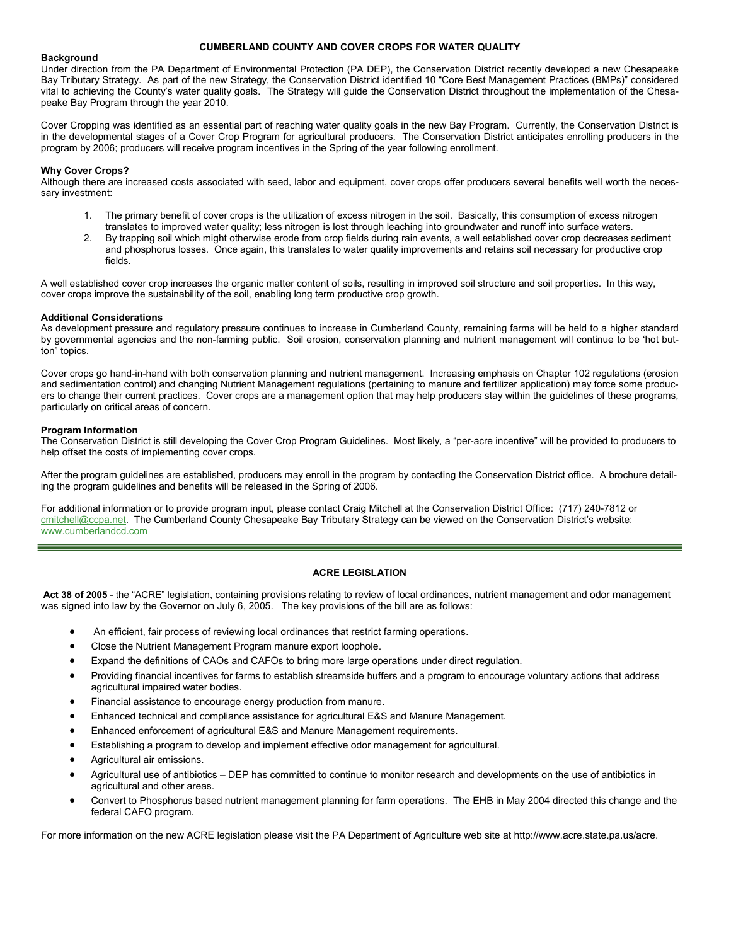### **CUMBERLAND COUNTY AND COVER CROPS FOR WATER QUALITY**

### **Background**

Under direction from the PA Department of Environmental Protection (PA DEP), the Conservation District recently developed a new Chesapeake Bay Tributary Strategy. As part of the new Strategy, the Conservation District identified 10 "Core Best Management Practices (BMPs)" considered vital to achieving the County's water quality goals. The Strategy will guide the Conservation District throughout the implementation of the Chesapeake Bay Program through the year 2010.

Cover Cropping was identified as an essential part of reaching water quality goals in the new Bay Program. Currently, the Conservation District is in the developmental stages of a Cover Crop Program for agricultural producers. The Conservation District anticipates enrolling producers in the program by 2006; producers will receive program incentives in the Spring of the year following enrollment.

### **Why Cover Crops?**

Although there are increased costs associated with seed, labor and equipment, cover crops offer producers several benefits well worth the necessary investment:

- 1. The primary benefit of cover crops is the utilization of excess nitrogen in the soil. Basically, this consumption of excess nitrogen translates to improved water quality; less nitrogen is lost through leaching into groundwater and runoff into surface waters.
- 2. By trapping soil which might otherwise erode from crop fields during rain events, a well established cover crop decreases sediment and phosphorus losses. Once again, this translates to water quality improvements and retains soil necessary for productive crop fields.

A well established cover crop increases the organic matter content of soils, resulting in improved soil structure and soil properties. In this way, cover crops improve the sustainability of the soil, enabling long term productive crop growth.

### **Additional Considerations**

As development pressure and regulatory pressure continues to increase in Cumberland County, remaining farms will be held to a higher standard by governmental agencies and the non-farming public. Soil erosion, conservation planning and nutrient management will continue to be 'hot button" topics.

Cover crops go hand-in-hand with both conservation planning and nutrient management. Increasing emphasis on Chapter 102 regulations (erosion and sedimentation control) and changing Nutrient Management regulations (pertaining to manure and fertilizer application) may force some producers to change their current practices. Cover crops are a management option that may help producers stay within the guidelines of these programs, particularly on critical areas of concern.

### **Program Information**

The Conservation District is still developing the Cover Crop Program Guidelines. Most likely, a "per-acre incentive" will be provided to producers to help offset the costs of implementing cover crops.

After the program guidelines are established, producers may enroll in the program by contacting the Conservation District office. A brochure detailing the program guidelines and benefits will be released in the Spring of 2006.

For additional information or to provide program input, please contact Craig Mitchell at the Conservation District Office: (717) 240-7812 or cmitchell@ccpa.net. The Cumberland County Chesapeake Bay Tributary Strategy can be viewed on the Conservation District's website: www.cumberlandcd.com

### **ACRE LEGISLATION**

**Act 38 of 2005** - the "ACRE" legislation, containing provisions relating to review of local ordinances, nutrient management and odor management was signed into law by the Governor on July 6, 2005. The key provisions of the bill are as follows:

- An efficient, fair process of reviewing local ordinances that restrict farming operations.
- Close the Nutrient Management Program manure export loophole.
- Expand the definitions of CAOs and CAFOs to bring more large operations under direct regulation.
- Providing financial incentives for farms to establish streamside buffers and a program to encourage voluntary actions that address agricultural impaired water bodies.
- Financial assistance to encourage energy production from manure.
- Enhanced technical and compliance assistance for agricultural E&S and Manure Management.
- Enhanced enforcement of agricultural E&S and Manure Management requirements.
- Establishing a program to develop and implement effective odor management for agricultural.
- Agricultural air emissions.
- Agricultural use of antibiotics DEP has committed to continue to monitor research and developments on the use of antibiotics in agricultural and other areas.
- Convert to Phosphorus based nutrient management planning for farm operations. The EHB in May 2004 directed this change and the federal CAFO program.

For more information on the new ACRE legislation please visit the PA Department of Agriculture web site at http://www.acre.state.pa.us/acre.